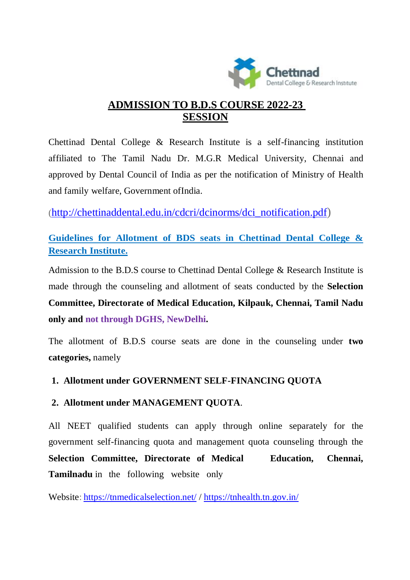

# **ADMISSION TO B.D.S COURSE 2022-23 SESSION**

Chettinad Dental College & Research Institute is a self-financing institution affiliated to The Tamil Nadu Dr. M.G.R Medical University, Chennai and approved by Dental Council of India as per the notification of Ministry of Health and family welfare, Government ofIndia.

(http://chettinaddental.edu.in/cdcri/dcinorms/dci\_notification.pdf)

**Guidelines for Allotment of BDS seats in Chettinad Dental College & Research Institute.**

Admission to the B.D.S course to Chettinad Dental College & Research Institute is made through the counseling and allotment of seats conducted by the **Selection Committee, Directorate of Medical Education, Kilpauk, Chennai, Tamil Nadu only and not through DGHS, NewDelhi.**

The allotment of B.D.S course seats are done in the counseling under **two categories,** namely

## **1. Allotment under GOVERNMENT SELF-FINANCING QUOTA**

## **2. Allotment under MANAGEMENT QUOTA**.

All NEET qualified students can apply through online separately for the government self-financing quota and management quota counseling through the **Selection Committee, Directorate of Medical Education, Chennai, Tamilnadu** in the following website only

Website: https://tnmedicalselection.net/ / https://tnhealth.tn.gov.in/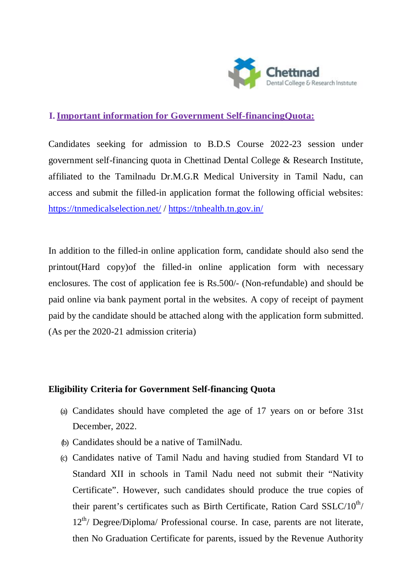

## **I.Important information for Government Self-financingQuota:**

Candidates seeking for admission to B.D.S Course 2022-23 session under government self-financing quota in Chettinad Dental College & Research Institute, affiliated to the Tamilnadu Dr.M.G.R Medical University in Tamil Nadu, can access and submit the filled-in application format the following official websites: https://tnmedicalselection.net/ / https://tnhealth.tn.gov.in/

In addition to the filled-in online application form, candidate should also send the printout(Hard copy)of the filled-in online application form with necessary enclosures. The cost of application fee is Rs.500/- (Non-refundable) and should be paid online via bank payment portal in the websites. A copy of receipt of payment paid by the candidate should be attached along with the application form submitted. (As per the 2020-21 admission criteria)

### **Eligibility Criteria for Government Self-financing Quota**

- (a) Candidates should have completed the age of 17 years on or before 31st December, 2022.
- (b) Candidates should be a native of TamilNadu.
- (c) Candidates native of Tamil Nadu and having studied from Standard VI to Standard XII in schools in Tamil Nadu need not submit their "Nativity Certificate". However, such candidates should produce the true copies of their parent's certificates such as Birth Certificate, Ration Card  $SSLC/10^{th}/$  $12<sup>th</sup>$  Degree/Diploma/ Professional course. In case, parents are not literate, then No Graduation Certificate for parents, issued by the Revenue Authority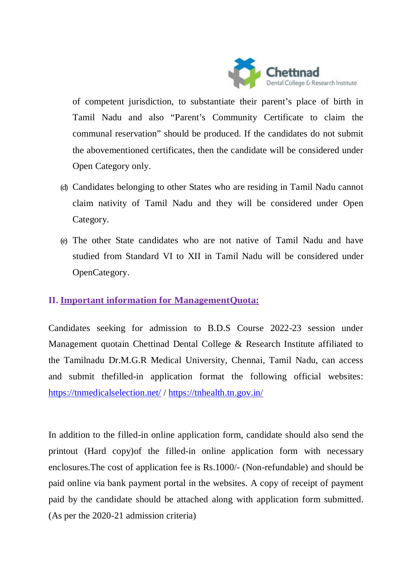

of competent jurisdiction, to substantiate their parent's place of birth in Tamil Nadu and also "Parent's Community Certificate to claim the communal reservation" should be produced. If the candidates do not submit the abovementioned certificates, then the candidate will be considered under Open Category only.

- (d) Candidates belonging to other States who are residing in Tamil Nadu cannot claim nativity of Tamil Nadu and they will be considered under Open Category.
- (e) The other State candidates who are not native of Tamil Nadu and have studied from Standard VI to XII in Tamil Nadu will be considered under OpenCategory.

## **II. Important information for ManagementQuota:**

Candidates seeking for admission to B.D.S Course 2022-23 session under Management quotain Chettinad Dental College & Research Institute affiliated to the Tamilnadu Dr.M.G.R Medical University, Chennai, Tamil Nadu, can access and submit thefilled-in application format the following official websites: https://tnmedicalselection.net/ / https://tnhealth.tn.gov.in/

In addition to the filled-in online application form, candidate should also send the printout (Hard copy)of the filled-in online application form with necessary enclosures.The cost of application fee is Rs.1000/- (Non-refundable) and should be paid online via bank payment portal in the websites. A copy of receipt of payment paid by the candidate should be attached along with application form submitted. (As per the 2020-21 admission criteria)